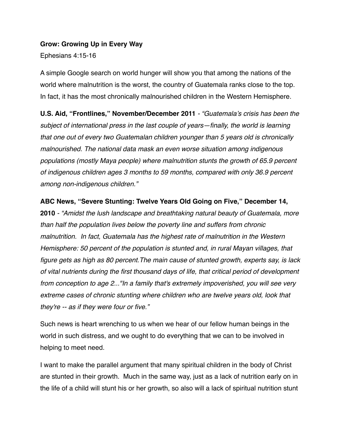#### **Grow: Growing Up in Every Way**

Ephesians 4:15-16

A simple Google search on world hunger will show you that among the nations of the world where malnutrition is the worst, the country of Guatemala ranks close to the top. In fact, it has the most chronically malnourished children in the Western Hemisphere.

**U.S. Aid, "Frontlines," November/December 2011** *- "Guatemala's crisis has been the subject of international press in the last couple of years—finally, the world is learning that one out of every two Guatemalan children younger than 5 years old is chronically malnourished. The national data mask an even worse situation among indigenous populations (mostly Maya people) where malnutrition stunts the growth of 65.9 percent of indigenous children ages 3 months to 59 months, compared with only 36.9 percent among non-indigenous children."*

**ABC News, "Severe Stunting: Twelve Years Old Going on Five," December 14,** 

**2010** *- "Amidst the lush landscape and breathtaking natural beauty of Guatemala, more than half the population lives below the poverty line and suffers from chronic malnutrition. In fact, Guatemala has the highest rate of malnutrition in the Western Hemisphere: 50 percent of the population is stunted and, in rural Mayan villages, that figure gets as high as 80 percent.The main cause of stunted growth, experts say, is lack of vital nutrients during the first thousand days of life, that critical period of development from conception to age 2..."In a family that's extremely impoverished, you will see very extreme cases of chronic stunting where children who are twelve years old, look that they're -- as if they were four or five."*

Such news is heart wrenching to us when we hear of our fellow human beings in the world in such distress, and we ought to do everything that we can to be involved in helping to meet need.

I want to make the parallel argument that many spiritual children in the body of Christ are stunted in their growth. Much in the same way, just as a lack of nutrition early on in the life of a child will stunt his or her growth, so also will a lack of spiritual nutrition stunt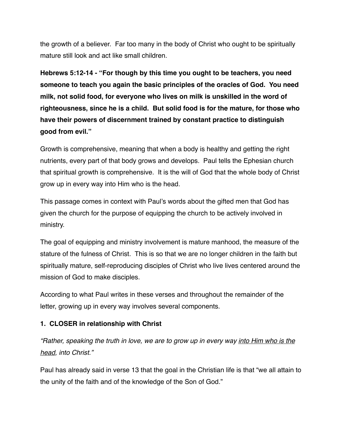the growth of a believer. Far too many in the body of Christ who ought to be spiritually mature still look and act like small children.

**Hebrews 5:12-14 - "For though by this time you ought to be teachers, you need someone to teach you again the basic principles of the oracles of God. You need milk, not solid food, for everyone who lives on milk is unskilled in the word of righteousness, since he is a child. But solid food is for the mature, for those who have their powers of discernment trained by constant practice to distinguish good from evil."**

Growth is comprehensive, meaning that when a body is healthy and getting the right nutrients, every part of that body grows and develops. Paul tells the Ephesian church that spiritual growth is comprehensive. It is the will of God that the whole body of Christ grow up in every way into Him who is the head.

This passage comes in context with Paul's words about the gifted men that God has given the church for the purpose of equipping the church to be actively involved in ministry.

The goal of equipping and ministry involvement is mature manhood, the measure of the stature of the fulness of Christ. This is so that we are no longer children in the faith but spiritually mature, self-reproducing disciples of Christ who live lives centered around the mission of God to make disciples.

According to what Paul writes in these verses and throughout the remainder of the letter, growing up in every way involves several components.

## **1. CLOSER in relationship with Christ**

*"Rather, speaking the truth in love, we are to grow up in every way into Him who is the head, into Christ."*

Paul has already said in verse 13 that the goal in the Christian life is that "we all attain to the unity of the faith and of the knowledge of the Son of God."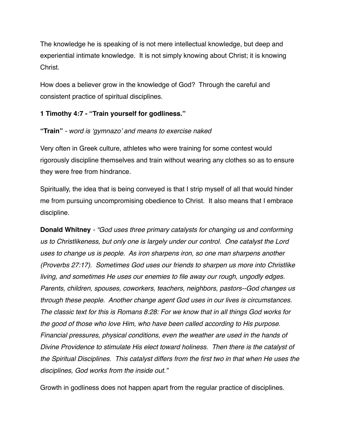The knowledge he is speaking of is not mere intellectual knowledge, but deep and experiential intimate knowledge. It is not simply knowing about Christ; it is knowing Christ.

How does a believer grow in the knowledge of God? Through the careful and consistent practice of spiritual disciplines.

### **1 Timothy 4:7 - "Train yourself for godliness."**

#### **"Train"** *- word is 'gymnazo' and means to exercise naked*

Very often in Greek culture, athletes who were training for some contest would rigorously discipline themselves and train without wearing any clothes so as to ensure they were free from hindrance.

Spiritually, the idea that is being conveyed is that I strip myself of all that would hinder me from pursuing uncompromising obedience to Christ. It also means that I embrace discipline.

**Donald Whitney** *- "God uses three primary catalysts for changing us and conforming us to Christlikeness, but only one is largely under our control. One catalyst the Lord uses to change us is people. As iron sharpens iron, so one man sharpens another (Proverbs 27:17). Sometimes God uses our friends to sharpen us more into Christlike living, and sometimes He uses our enemies to file away our rough, ungodly edges. Parents, children, spouses, coworkers, teachers, neighbors, pastors--God changes us through these people. Another change agent God uses in our lives is circumstances. The classic text for this is Romans 8:28: For we know that in all things God works for the good of those who love Him, who have been called according to His purpose. Financial pressures, physical conditions, even the weather are used in the hands of Divine Providence to stimulate His elect toward holiness. Then there is the catalyst of the Spiritual Disciplines. This catalyst differs from the first two in that when He uses the disciplines, God works from the inside out."*

Growth in godliness does not happen apart from the regular practice of disciplines.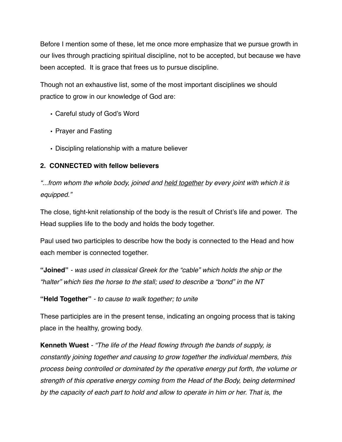Before I mention some of these, let me once more emphasize that we pursue growth in our lives through practicing spiritual discipline, not to be accepted, but because we have been accepted. It is grace that frees us to pursue discipline.

Though not an exhaustive list, some of the most important disciplines we should practice to grow in our knowledge of God are:

- Careful study of God's Word
- Prayer and Fasting
- Discipling relationship with a mature believer

## **2. CONNECTED with fellow believers**

*"...from whom the whole body, joined and held together by every joint with which it is equipped."*

The close, tight-knit relationship of the body is the result of Christ's life and power. The Head supplies life to the body and holds the body together.

Paul used two participles to describe how the body is connected to the Head and how each member is connected together.

**"Joined"** *- was used in classical Greek for the "cable" which holds the ship or the "halter" which ties the horse to the stall; used to describe a "bond" in the NT*

**"Held Together"** *- to cause to walk together; to unite*

These participles are in the present tense, indicating an ongoing process that is taking place in the healthy, growing body.

**Kenneth Wuest** *- "The life of the Head flowing through the bands of supply, is constantly joining together and causing to grow together the individual members, this process being controlled or dominated by the operative energy put forth, the volume or strength of this operative energy coming from the Head of the Body, being determined by the capacity of each part to hold and allow to operate in him or her. That is, the*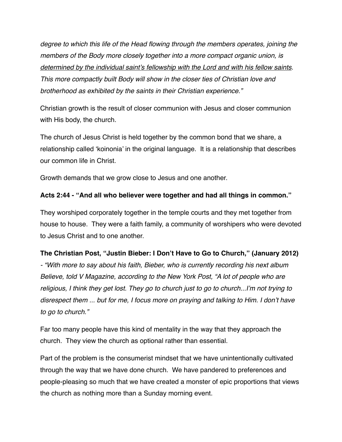*degree to which this life of the Head flowing through the members operates, joining the members of the Body more closely together into a more compact organic union, is determined by the individual saint's fellowship with the Lord and with his fellow saints. This more compactly built Body will show in the closer ties of Christian love and brotherhood as exhibited by the saints in their Christian experience."*

Christian growth is the result of closer communion with Jesus and closer communion with His body, the church.

The church of Jesus Christ is held together by the common bond that we share, a relationship called 'koinonia' in the original language. It is a relationship that describes our common life in Christ.

Growth demands that we grow close to Jesus and one another.

#### **Acts 2:44 - "And all who believer were together and had all things in common."**

They worshiped corporately together in the temple courts and they met together from house to house. They were a faith family, a community of worshipers who were devoted to Jesus Christ and to one another.

#### **The Christian Post, "Justin Bieber: I Don't Have to Go to Church," (January 2012)**

*- "With more to say about his faith, Bieber, who is currently recording his next album Believe, told V Magazine, according to the New York Post, "A lot of people who are religious, I think they get lost. They go to church just to go to church...I'm not trying to disrespect them ... but for me, I focus more on praying and talking to Him. I don't have to go to church."*

Far too many people have this kind of mentality in the way that they approach the church. They view the church as optional rather than essential.

Part of the problem is the consumerist mindset that we have unintentionally cultivated through the way that we have done church. We have pandered to preferences and people-pleasing so much that we have created a monster of epic proportions that views the church as nothing more than a Sunday morning event.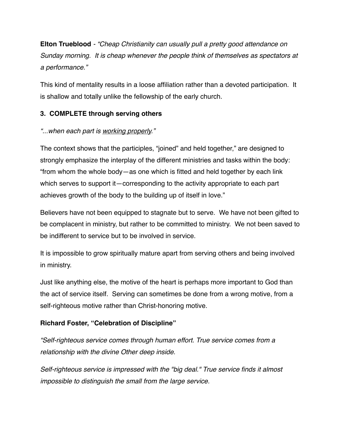**Elton Trueblood** *- "Cheap Christianity can usually pull a pretty good attendance on Sunday morning. It is cheap whenever the people think of themselves as spectators at a performance."*

This kind of mentality results in a loose affiliation rather than a devoted participation. It is shallow and totally unlike the fellowship of the early church.

## **3. COMPLETE through serving others**

## *"...when each part is working properly."*

The context shows that the participles, "joined" and held together," are designed to strongly emphasize the interplay of the different ministries and tasks within the body: "from whom the whole body—as one which is fitted and held together by each link which serves to support it—corresponding to the activity appropriate to each part achieves growth of the body to the building up of itself in love."

Believers have not been equipped to stagnate but to serve. We have not been gifted to be complacent in ministry, but rather to be committed to ministry. We not been saved to be indifferent to service but to be involved in service.

It is impossible to grow spiritually mature apart from serving others and being involved in ministry.

Just like anything else, the motive of the heart is perhaps more important to God than the act of service itself. Serving can sometimes be done from a wrong motive, from a self-righteous motive rather than Christ-honoring motive.

## **Richard Foster, "Celebration of Discipline"**

*"Self-righteous service comes through human effort. True service comes from a relationship with the divine Other deep inside.*

*Self-righteous service is impressed with the "big deal." True service finds it almost impossible to distinguish the small from the large service.*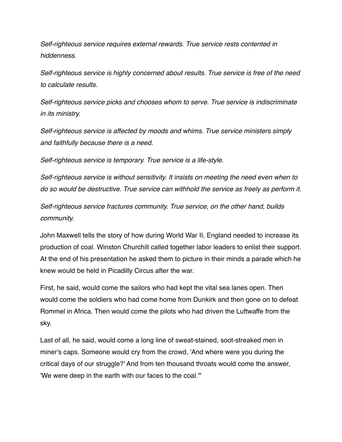*Self-righteous service requires external rewards. True service rests contented in hiddenness.*

*Self-righteous service is highly concerned about results. True service is free of the need to calculate results.*

*Self-righteous service picks and chooses whom to serve. True service is indiscriminate in its ministry.*

*Self-righteous service is affected by moods and whims. True service ministers simply and faithfully because there is a need.*

*Self-righteous service is temporary. True service is a life-style.*

*Self-righteous service is without sensitivity. It insists on meeting the need even when to do so would be destructive. True service can withhold the service as freely as perform it.* 

*Self-righteous service fractures community. True service, on the other hand, builds community.*

John Maxwell tells the story of how during World War II, England needed to increase its production of coal. Winston Churchill called together labor leaders to enlist their support. At the end of his presentation he asked them to picture in their minds a parade which he knew would be held in Picadilly Circus after the war.

First, he said, would come the sailors who had kept the vital sea lanes open. Then would come the soldiers who had come home from Dunkirk and then gone on to defeat Rommel in Africa. Then would come the pilots who had driven the Luftwaffe from the sky.

Last of all, he said, would come a long line of sweat-stained, soot-streaked men in miner's caps. Someone would cry from the crowd, 'And where were you during the critical days of our struggle?' And from ten thousand throats would come the answer, 'We were deep in the earth with our faces to the coal.'"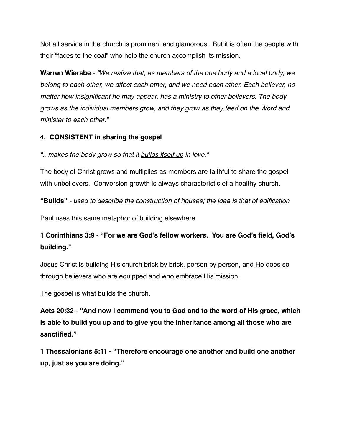Not all service in the church is prominent and glamorous. But it is often the people with their "faces to the coal" who help the church accomplish its mission.

**Warren Wiersbe** *- "We realize that, as members of the one body and a local body, we belong to each other, we affect each other, and we need each other. Each believer, no matter how insignificant he may appear, has a ministry to other believers. The body grows as the individual members grow, and they grow as they feed on the Word and minister to each other."*

#### **4. CONSISTENT in sharing the gospel**

*"...makes the body grow so that it builds itself up in love."*

The body of Christ grows and multiplies as members are faithful to share the gospel with unbelievers. Conversion growth is always characteristic of a healthy church.

**"Builds"** *- used to describe the construction of houses; the idea is that of edification*

Paul uses this same metaphor of building elsewhere.

# **1 Corinthians 3:9 - "For we are God's fellow workers. You are God's field, God's building."**

Jesus Christ is building His church brick by brick, person by person, and He does so through believers who are equipped and who embrace His mission.

The gospel is what builds the church.

**Acts 20:32 - "And now I commend you to God and to the word of His grace, which is able to build you up and to give you the inheritance among all those who are sanctified."**

**1 Thessalonians 5:11 - "Therefore encourage one another and build one another up, just as you are doing."**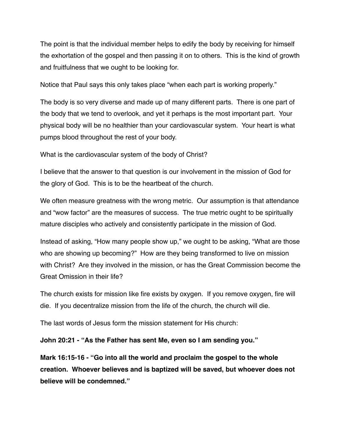The point is that the individual member helps to edify the body by receiving for himself the exhortation of the gospel and then passing it on to others. This is the kind of growth and fruitfulness that we ought to be looking for.

Notice that Paul says this only takes place "when each part is working properly."

The body is so very diverse and made up of many different parts. There is one part of the body that we tend to overlook, and yet it perhaps is the most important part. Your physical body will be no healthier than your cardiovascular system. Your heart is what pumps blood throughout the rest of your body.

What is the cardiovascular system of the body of Christ?

I believe that the answer to that question is our involvement in the mission of God for the glory of God. This is to be the heartbeat of the church.

We often measure greatness with the wrong metric. Our assumption is that attendance and "wow factor" are the measures of success. The true metric ought to be spiritually mature disciples who actively and consistently participate in the mission of God.

Instead of asking, "How many people show up," we ought to be asking, "What are those who are showing up becoming?" How are they being transformed to live on mission with Christ? Are they involved in the mission, or has the Great Commission become the Great Omission in their life?

The church exists for mission like fire exists by oxygen. If you remove oxygen, fire will die. If you decentralize mission from the life of the church, the church will die.

The last words of Jesus form the mission statement for His church:

**John 20:21 - "As the Father has sent Me, even so I am sending you."**

**Mark 16:15-16 - "Go into all the world and proclaim the gospel to the whole creation. Whoever believes and is baptized will be saved, but whoever does not believe will be condemned."**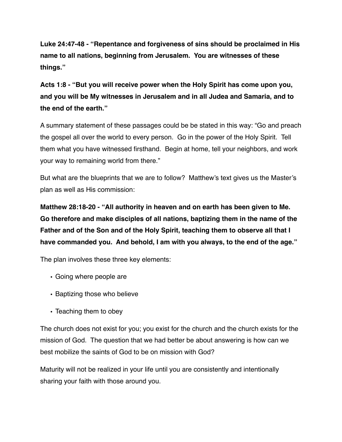**Luke 24:47-48 - "Repentance and forgiveness of sins should be proclaimed in His name to all nations, beginning from Jerusalem. You are witnesses of these things."**

**Acts 1:8 - "But you will receive power when the Holy Spirit has come upon you, and you will be My witnesses in Jerusalem and in all Judea and Samaria, and to the end of the earth."**

A summary statement of these passages could be be stated in this way: "Go and preach the gospel all over the world to every person. Go in the power of the Holy Spirit. Tell them what you have witnessed firsthand. Begin at home, tell your neighbors, and work your way to remaining world from there."

But what are the blueprints that we are to follow? Matthew's text gives us the Master's plan as well as His commission:

**Matthew 28:18-20 - "All authority in heaven and on earth has been given to Me. Go therefore and make disciples of all nations, baptizing them in the name of the Father and of the Son and of the Holy Spirit, teaching them to observe all that I have commanded you. And behold, I am with you always, to the end of the age."**

The plan involves these three key elements:

- Going where people are
- Baptizing those who believe
- Teaching them to obey

The church does not exist for you; you exist for the church and the church exists for the mission of God. The question that we had better be about answering is how can we best mobilize the saints of God to be on mission with God?

Maturity will not be realized in your life until you are consistently and intentionally sharing your faith with those around you.